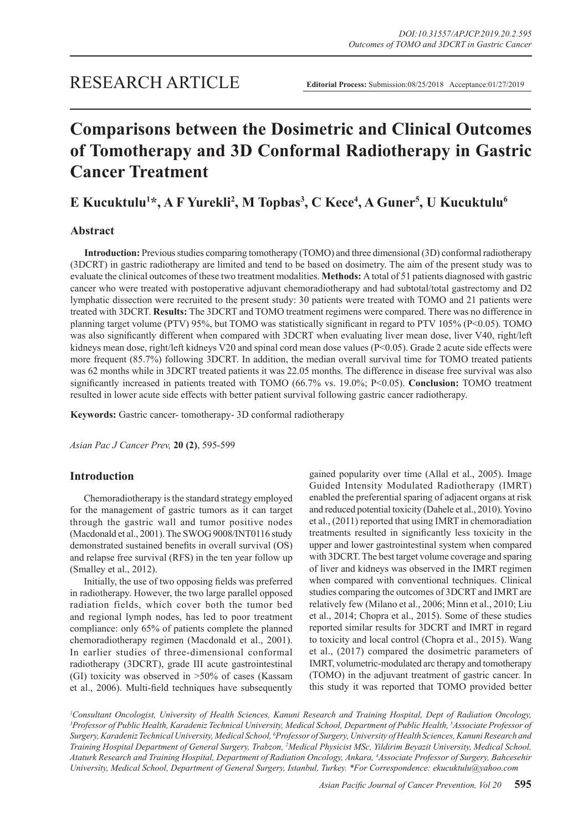# **Comparisons between the Dosimetric and Clinical Outcomes of Tomotherapy and 3D Conformal Radiotherapy in Gastric Cancer Treatment**

## **E Kucuktulu<sup>1\*</sup>, A F Yurekli<sup>2</sup>, M Topbas<sup>3</sup>, C Kece<sup>4</sup>, A Guner<sup>5</sup>, U Kucuktulu<sup>6</sup>**

## **Abstract**

**Introduction:** Previous studies comparing tomotherapy (TOMO) and three dimensional (3D) conformal radiotherapy (3DCRT) in gastric radiotherapy are limited and tend to be based on dosimetry. The aim of the present study was to evaluate the clinical outcomes of these two treatment modalities. **Methods:** A total of 51 patients diagnosed with gastric cancer who were treated with postoperative adjuvant chemoradiotherapy and had subtotal/total gastrectomy and D2 lymphatic dissection were recruited to the present study: 30 patients were treated with TOMO and 21 patients were treated with 3DCRT. **Results:** The 3DCRT and TOMO treatment regimens were compared. There was no difference in planning target volume (PTV) 95%, but TOMO was statistically significant in regard to PTV 105% (P<0.05). TOMO was also significantly different when compared with 3DCRT when evaluating liver mean dose, liver V40, right/left kidneys mean dose, right/left kidneys V20 and spinal cord mean dose values (P<0.05). Grade 2 acute side effects were more frequent (85.7%) following 3DCRT. In addition, the median overall survival time for TOMO treated patients was 62 months while in 3DCRT treated patients it was 22.05 months. The difference in disease free survival was also significantly increased in patients treated with TOMO (66.7% vs. 19.0%; P<0.05). **Conclusion:** TOMO treatment resulted in lower acute side effects with better patient survival following gastric cancer radiotherapy.

**Keywords:** Gastric cancer- tomotherapy- 3D conformal radiotherapy

*Asian Pac J Cancer Prev,* **20 (2)**, 595-599

## **Introduction**

Chemoradiotherapy is the standard strategy employed for the management of gastric tumors as it can target through the gastric wall and tumor positive nodes (Macdonald et al., 2001). The SWOG 9008/INT0116 study demonstrated sustained benefits in overall survival (OS) and relapse free survival (RFS) in the ten year follow up (Smalley et al., 2012).

Initially, the use of two opposing fields was preferred in radiotherapy. However, the two large parallel opposed radiation fields, which cover both the tumor bed and regional lymph nodes, has led to poor treatment compliance: only 65% of patients complete the planned chemoradiotherapy regimen (Macdonald et al., 2001). In earlier studies of three-dimensional conformal radiotherapy (3DCRT), grade III acute gastrointestinal (GI) toxicity was observed in >50% of cases (Kassam et al., 2006). Multi-field techniques have subsequently gained popularity over time (Allal et al., 2005). Image Guided Intensity Modulated Radiotherapy (IMRT) enabled the preferential sparing of adjacent organs at risk and reduced potential toxicity (Dahele et al., 2010). Yovino et al., (2011) reported that using IMRT in chemoradiation treatments resulted in significantly less toxicity in the upper and lower gastrointestinal system when compared with 3DCRT. The best target volume coverage and sparing of liver and kidneys was observed in the IMRT regimen when compared with conventional techniques. Clinical studies comparing the outcomes of 3DCRT and IMRT are relatively few (Milano et al., 2006; Minn et al., 2010; Liu et al., 2014; Chopra et al., 2015). Some of these studies reported similar results for 3DCRT and IMRT in regard to toxicity and local control (Chopra et al., 2015). Wang et al., (2017) compared the dosimetric parameters of IMRT, volumetric-modulated arc therapy and tomotherapy (TOMO) in the adjuvant treatment of gastric cancer. In this study it was reported that TOMO provided better

*1 Consultant Oncologist, University of Health Sciences, Kanuni Research and Training Hospital, Dept of Radiation Oncology, 3 Professor of Public Health, Karadeniz Technical University, Medical School, Department of Public Health, 5 Associate Professor of Surgery, Karadeniz Technical University, Medical School, 6 Professor of Surgery, University of Health Sciences, Kanuni Research and Training Hospital Department of General Surgery, Trabzon, 2 Medical Physicist MSc, Yildirim Beyazit University, Medical School, Ataturk Research and Training Hospital, Department of Radiation Oncology, Ankara, 4 Associate Professor of Surgery, Bahcesehir University, Medical School, Department of General Surgery, Istanbul, Turkey. \*For Correspondence: ekucuktulu@yahoo.com*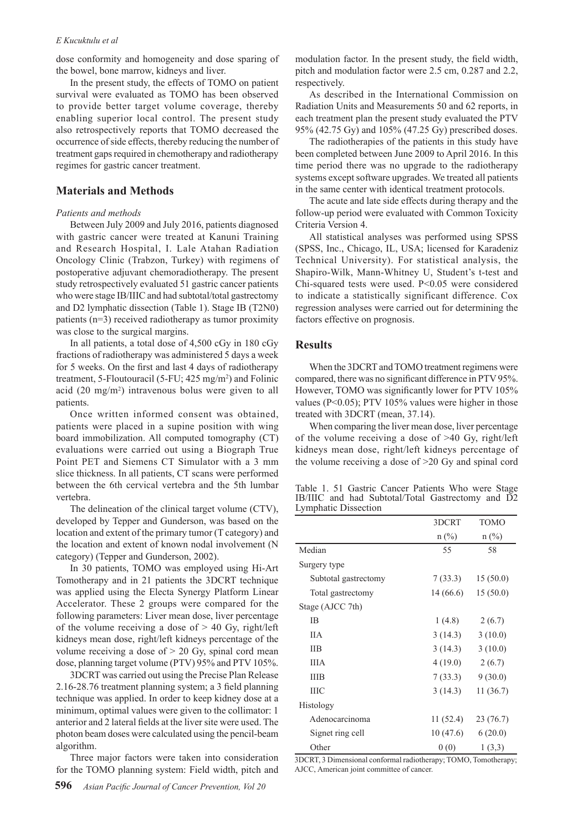#### *E Kucuktulu et al*

dose conformity and homogeneity and dose sparing of the bowel, bone marrow, kidneys and liver.

In the present study, the effects of TOMO on patient survival were evaluated as TOMO has been observed to provide better target volume coverage, thereby enabling superior local control. The present study also retrospectively reports that TOMO decreased the occurrence of side effects, thereby reducing the number of treatment gaps required in chemotherapy and radiotherapy regimes for gastric cancer treatment.

## **Materials and Methods**

#### *Patients and methods*

Between July 2009 and July 2016, patients diagnosed with gastric cancer were treated at Kanuni Training and Research Hospital, I. Lale Atahan Radiation Oncology Clinic (Trabzon, Turkey) with regimens of postoperative adjuvant chemoradiotherapy. The present study retrospectively evaluated 51 gastric cancer patients who were stage IB/IIIC and had subtotal/total gastrectomy and D2 lymphatic dissection (Table 1). Stage IB (T2N0) patients (n=3) received radiotherapy as tumor proximity was close to the surgical margins.

In all patients, a total dose of 4,500 cGy in 180 cGy fractions of radiotherapy was administered 5 days a week for 5 weeks. On the first and last 4 days of radiotherapy treatment, 5-Floutouracil (5-FU; 425 mg/m<sup>2</sup> ) and Folinic acid (20 mg/m2 ) intravenous bolus were given to all patients.

Once written informed consent was obtained, patients were placed in a supine position with wing board immobilization. All computed tomography (CT) evaluations were carried out using a Biograph True Point PET and Siemens CT Simulator with a 3 mm slice thickness. In all patients, CT scans were performed between the 6th cervical vertebra and the 5th lumbar vertebra.

The delineation of the clinical target volume (CTV), developed by Tepper and Gunderson, was based on the location and extent of the primary tumor (T category) and the location and extent of known nodal involvement (N category) (Tepper and Gunderson, 2002).

In 30 patients, TOMO was employed using Hi-Art Tomotherapy and in 21 patients the 3DCRT technique was applied using the Electa Synergy Platform Linear Accelerator. These 2 groups were compared for the following parameters: Liver mean dose, liver percentage of the volume receiving a dose of  $> 40$  Gy, right/left kidneys mean dose, right/left kidneys percentage of the volume receiving a dose of  $> 20$  Gy, spinal cord mean dose, planning target volume (PTV) 95% and PTV 105%.

3DCRT was carried out using the Precise Plan Release 2.16-28.76 treatment planning system; a 3 field planning technique was applied. In order to keep kidney dose at a minimum, optimal values were given to the collimator: 1 anterior and 2 lateral fields at the liver site were used. The photon beam doses were calculated using the pencil-beam algorithm.

Three major factors were taken into consideration for the TOMO planning system: Field width, pitch and modulation factor. In the present study, the field width, pitch and modulation factor were 2.5 cm, 0.287 and 2.2, respectively.

As described in the International Commission on Radiation Units and Measurements 50 and 62 reports, in each treatment plan the present study evaluated the PTV 95% (42.75 Gy) and 105% (47.25 Gy) prescribed doses.

The radiotherapies of the patients in this study have been completed between June 2009 to April 2016. In this time period there was no upgrade to the radiotherapy systems except software upgrades. We treated all patients in the same center with identical treatment protocols.

The acute and late side effects during therapy and the follow-up period were evaluated with Common Toxicity Criteria Version 4.

All statistical analyses was performed using SPSS (SPSS, Inc., Chicago, IL, USA; licensed for Karadeniz Technical University). For statistical analysis, the Shapiro-Wilk, Mann-Whitney U, Student's t-test and Chi-squared tests were used. P<0.05 were considered to indicate a statistically significant difference. Cox regression analyses were carried out for determining the factors effective on prognosis.

## **Results**

When the 3DCRT and TOMO treatment regimens were compared, there was no significant difference in PTV 95%. However, TOMO was significantly lower for PTV 105% values (P<0.05); PTV 105% values were higher in those treated with 3DCRT (mean, 37.14).

When comparing the liver mean dose, liver percentage of the volume receiving a dose of >40 Gy, right/left kidneys mean dose, right/left kidneys percentage of the volume receiving a dose of >20 Gy and spinal cord

Table 1. 51 Gastric Cancer Patients Who were Stage IB/IIIC and had Subtotal/Total Gastrectomy and D2 Lymphatic Dissection

|                      | 3DCRT    | <b>TOMO</b> |
|----------------------|----------|-------------|
|                      | $n$ (%)  | $n$ (%)     |
| Median               | 55       | 58          |
| Surgery type         |          |             |
| Subtotal gastrectomy | 7(33.3)  | 15(50.0)    |
| Total gastrectomy    | 14(66.6) | 15(50.0)    |
| Stage (AJCC 7th)     |          |             |
| IB                   | 1(4.8)   | 2(6.7)      |
| <b>IIA</b>           | 3(14.3)  | 3(10.0)     |
| <b>IIB</b>           | 3(14.3)  | 3(10.0)     |
| <b>IIIA</b>          | 4(19.0)  | 2(6.7)      |
| <b>IIIB</b>          | 7(33.3)  | 9(30.0)     |
| ШC                   | 3(14.3)  | 11(36.7)    |
| Histology            |          |             |
| Adenocarcinoma       | 11(52.4) | 23(76.7)    |
| Signet ring cell     | 10(47.6) | 6(20.0)     |
| Other                | 0(0)     | 1(3,3)      |

3DCRT, 3 Dimensional conformal radiotherapy; TOMO, Tomotherapy; AJCC, American joint committee of cancer.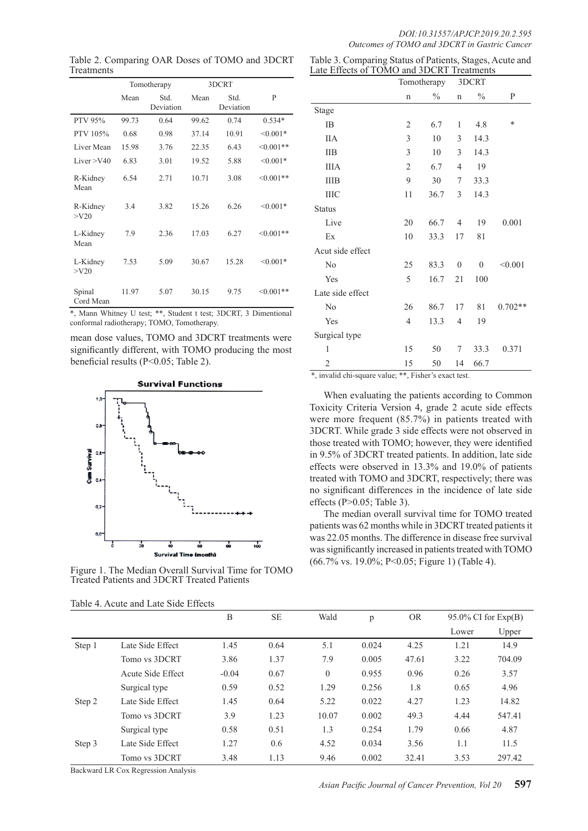Table 2. Comparing OAR Doses of TOMO and 3DCRT Treatments

|                     |       | Tomotherapy       | 3DCRT |                   |                |  |
|---------------------|-------|-------------------|-------|-------------------|----------------|--|
|                     | Mean  | Std.<br>Deviation | Mean  | Std.<br>Deviation | P              |  |
| <b>PTV 95%</b>      | 99.73 | 0.64              | 99.62 | 0.74              | $0.534*$       |  |
| PTV 105%            | 0.68  | 0.98              | 37.14 | 10.91             | $< 0.001*$     |  |
| Liver Mean          | 15.98 | 3.76              | 22.35 | 6.43              | $\leq 0.001**$ |  |
| Liver $>$ V40       | 6.83  | 3.01              | 19.52 | 5.88              | $< 0.001*$     |  |
| R-Kidney<br>Mean    | 6.54  | 2.71              | 10.71 | 3.08              | $<0.001**$     |  |
| R-Kidney<br>>V20    | 3.4   | 3.82              | 15.26 | 6.26              | $< 0.001*$     |  |
| L-Kidney<br>Mean    | 7.9   | 2.36              | 17.03 | 6.27              | $\leq 0.001**$ |  |
| L-Kidney<br>$>$ V20 | 7.53  | 5.09              | 30.67 | 15.28             | $< 0.001*$     |  |
| Spinal<br>Cord Mean | 11.97 | 5.07              | 30.15 | 9.75              | $\leq 0.001**$ |  |

\*, Mann Whitney U test; \*\*, Student t test; 3DCRT, 3 Dimentional conformal radiotherapy; TOMO, Tomotherapy.

mean dose values, TOMO and 3DCRT treatments were significantly different, with TOMO producing the most beneficial results (P<0.05; Table 2).



Figure 1. The Median Overall Survival Time for TOMO Treated Patients and 3DCRT Treated Patients

| Table 4. Acute and Late Side Effects |  |  |  |
|--------------------------------------|--|--|--|
|                                      |  |  |  |

| Table 3. Comparing Status of Patients, Stages, Acute and |  |
|----------------------------------------------------------|--|
| Late Effects of TOMO and 3DCRT Treatments                |  |

| <b>LITCORY</b>   |                | <b>TOIMO AIM SPOKT</b><br>Tomotherapy |                | Treathforms<br>3DCRT |           |
|------------------|----------------|---------------------------------------|----------------|----------------------|-----------|
|                  | $\mathbf n$    | $\frac{0}{0}$                         | $\mathbf n$    | $\frac{0}{0}$        | P         |
| Stage            |                |                                       |                |                      |           |
| IB               | $\overline{2}$ | 6.7                                   | 1              | 4.8                  | $\ast$    |
| <b>IIA</b>       | $\mathfrak{Z}$ | 10                                    | 3              | 14.3                 |           |
| <b>IIB</b>       | 3              | 10                                    | 3              | 14.3                 |           |
| <b>IIIA</b>      | $\overline{2}$ | 6.7                                   | $\overline{4}$ | 19                   |           |
| <b>IIIB</b>      | 9              | 30                                    | 7              | 33.3                 |           |
| <b>IIIC</b>      | 11             | 36.7                                  | 3              | 14.3                 |           |
| <b>Status</b>    |                |                                       |                |                      |           |
| Live             | 20             | 66.7                                  | $\overline{4}$ | 19                   | 0.001     |
| Ex               | 10             | 33.3                                  | 17             | 81                   |           |
| Acut side effect |                |                                       |                |                      |           |
| No               | 25             | 83.3                                  | $\mathbf{0}$   | $\overline{0}$       | < 0.001   |
| Yes              | 5              | 16.7                                  | 21             | 100                  |           |
| Late side effect |                |                                       |                |                      |           |
| N <sub>0</sub>   | 26             | 86.7                                  | 17             | 81                   | $0.702**$ |
| Yes              | $\overline{4}$ | 13.3                                  | 4              | 19                   |           |
| Surgical type    |                |                                       |                |                      |           |
| 1                | 15             | 50                                    | 7              | 33.3                 | 0.371     |
| 2                | 15             | 50                                    | 14             | 66.7                 |           |

\*, invalid chi-square value; \*\*, Fisher's exact test.

When evaluating the patients according to Common Toxicity Criteria Version 4, grade 2 acute side effects were more frequent (85.7%) in patients treated with 3DCRT. While grade 3 side effects were not observed in those treated with TOMO; however, they were identified in 9.5% of 3DCRT treated patients. In addition, late side effects were observed in 13.3% and 19.0% of patients treated with TOMO and 3DCRT, respectively; there was no significant differences in the incidence of late side effects (P>0.05; Table 3).

The median overall survival time for TOMO treated patients was 62 months while in 3DCRT treated patients it was 22.05 months. The difference in disease free survival was significantly increased in patients treated with TOMO (66.7% vs. 19.0%; P<0.05; Figure 1) (Table 4).

|        |                   | B       | <b>SE</b> | Wald     | p     | <b>OR</b> |       | $95.0\%$ CI for $Exp(B)$ |  |
|--------|-------------------|---------|-----------|----------|-------|-----------|-------|--------------------------|--|
|        |                   |         |           |          |       |           | Lower | Upper                    |  |
| Step 1 | Late Side Effect  | 1.45    | 0.64      | 5.1      | 0.024 | 4.25      | 1.21  | 14.9                     |  |
|        | Tomo vs 3DCRT     | 3.86    | 1.37      | 7.9      | 0.005 | 47.61     | 3.22  | 704.09                   |  |
|        | Acute Side Effect | $-0.04$ | 0.67      | $\theta$ | 0.955 | 0.96      | 0.26  | 3.57                     |  |
|        | Surgical type     | 0.59    | 0.52      | 1.29     | 0.256 | 1.8       | 0.65  | 4.96                     |  |
| Step 2 | Late Side Effect  | 1.45    | 0.64      | 5.22     | 0.022 | 4.27      | 1.23  | 14.82                    |  |
|        | Tomo vs 3DCRT     | 3.9     | 1.23      | 10.07    | 0.002 | 49.3      | 4.44  | 547.41                   |  |
|        | Surgical type     | 0.58    | 0.51      | 1.3      | 0.254 | 1.79      | 0.66  | 4.87                     |  |
| Step 3 | Late Side Effect  | 1.27    | 0.6       | 4.52     | 0.034 | 3.56      | 1.1   | 11.5                     |  |
|        | Tomo vs 3DCRT     | 3.48    | 1.13      | 9.46     | 0.002 | 32.41     | 3.53  | 297.42                   |  |

Backward LR Cox Regression Analysis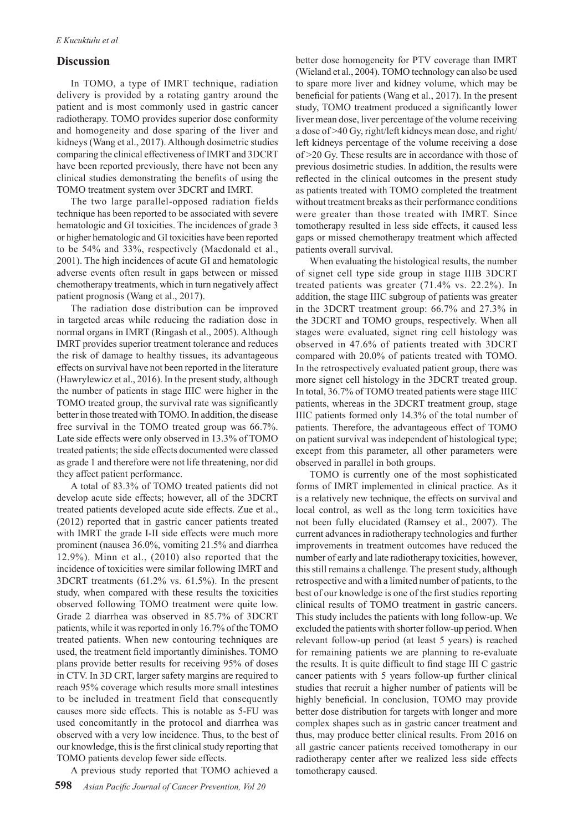### **Discussion**

In TOMO, a type of IMRT technique, radiation delivery is provided by a rotating gantry around the patient and is most commonly used in gastric cancer radiotherapy. TOMO provides superior dose conformity and homogeneity and dose sparing of the liver and kidneys (Wang et al., 2017). Although dosimetric studies comparing the clinical effectiveness of IMRT and 3DCRT have been reported previously, there have not been any clinical studies demonstrating the benefits of using the TOMO treatment system over 3DCRT and IMRT.

The two large parallel-opposed radiation fields technique has been reported to be associated with severe hematologic and GI toxicities. The incidences of grade 3 or higher hematologic and GI toxicities have been reported to be 54% and 33%, respectively (Macdonald et al., 2001). The high incidences of acute GI and hematologic adverse events often result in gaps between or missed chemotherapy treatments, which in turn negatively affect patient prognosis (Wang et al., 2017).

The radiation dose distribution can be improved in targeted areas while reducing the radiation dose in normal organs in IMRT (Ringash et al., 2005). Although IMRT provides superior treatment tolerance and reduces the risk of damage to healthy tissues, its advantageous effects on survival have not been reported in the literature (Hawrylewicz et al., 2016). In the present study, although the number of patients in stage IIIC were higher in the TOMO treated group, the survival rate was significantly better in those treated with TOMO. In addition, the disease free survival in the TOMO treated group was 66.7%. Late side effects were only observed in 13.3% of TOMO treated patients; the side effects documented were classed as grade 1 and therefore were not life threatening, nor did they affect patient performance.

A total of 83.3% of TOMO treated patients did not develop acute side effects; however, all of the 3DCRT treated patients developed acute side effects. Zue et al., (2012) reported that in gastric cancer patients treated with IMRT the grade I-II side effects were much more prominent (nausea 36.0%, vomiting 21.5% and diarrhea 12.9%). Minn et al., (2010) also reported that the incidence of toxicities were similar following IMRT and 3DCRT treatments (61.2% vs. 61.5%). In the present study, when compared with these results the toxicities observed following TOMO treatment were quite low. Grade 2 diarrhea was observed in 85.7% of 3DCRT patients, while it was reported in only 16.7% of the TOMO treated patients. When new contouring techniques are used, the treatment field importantly diminishes. TOMO plans provide better results for receiving 95% of doses in CTV. In 3D CRT, larger safety margins are required to reach 95% coverage which results more small intestines to be included in treatment field that consequently causes more side effects. This is notable as 5-FU was used concomitantly in the protocol and diarrhea was observed with a very low incidence. Thus, to the best of our knowledge, this is the first clinical study reporting that TOMO patients develop fewer side effects.

A previous study reported that TOMO achieved a

better dose homogeneity for PTV coverage than IMRT (Wieland et al., 2004). TOMO technology can also be used to spare more liver and kidney volume, which may be beneficial for patients (Wang et al., 2017). In the present study, TOMO treatment produced a significantly lower liver mean dose, liver percentage of the volume receiving a dose of >40 Gy, right/left kidneys mean dose, and right/ left kidneys percentage of the volume receiving a dose of >20 Gy. These results are in accordance with those of previous dosimetric studies. In addition, the results were reflected in the clinical outcomes in the present study as patients treated with TOMO completed the treatment without treatment breaks as their performance conditions were greater than those treated with IMRT. Since tomotherapy resulted in less side effects, it caused less gaps or missed chemotherapy treatment which affected patients overall survival.

When evaluating the histological results, the number of signet cell type side group in stage IIIB 3DCRT treated patients was greater (71.4% vs. 22.2%). In addition, the stage IIIC subgroup of patients was greater in the 3DCRT treatment group: 66.7% and 27.3% in the 3DCRT and TOMO groups, respectively. When all stages were evaluated, signet ring cell histology was observed in 47.6% of patients treated with 3DCRT compared with 20.0% of patients treated with TOMO. In the retrospectively evaluated patient group, there was more signet cell histology in the 3DCRT treated group. In total, 36.7% of TOMO treated patients were stage IIIC patients, whereas in the 3DCRT treatment group, stage IIIC patients formed only 14.3% of the total number of patients. Therefore, the advantageous effect of TOMO on patient survival was independent of histological type; except from this parameter, all other parameters were observed in parallel in both groups.

TOMO is currently one of the most sophisticated forms of IMRT implemented in clinical practice. As it is a relatively new technique, the effects on survival and local control, as well as the long term toxicities have not been fully elucidated (Ramsey et al., 2007). The current advances in radiotherapy technologies and further improvements in treatment outcomes have reduced the number of early and late radiotherapy toxicities, however, this still remains a challenge. The present study, although retrospective and with a limited number of patients, to the best of our knowledge is one of the first studies reporting clinical results of TOMO treatment in gastric cancers. This study includes the patients with long follow-up. We excluded the patients with shorter follow-up period. When relevant follow-up period (at least 5 years) is reached for remaining patients we are planning to re-evaluate the results. It is quite difficult to find stage III C gastric cancer patients with 5 years follow-up further clinical studies that recruit a higher number of patients will be highly beneficial. In conclusion, TOMO may provide better dose distribution for targets with longer and more complex shapes such as in gastric cancer treatment and thus, may produce better clinical results. From 2016 on all gastric cancer patients received tomotherapy in our radiotherapy center after we realized less side effects tomotherapy caused.